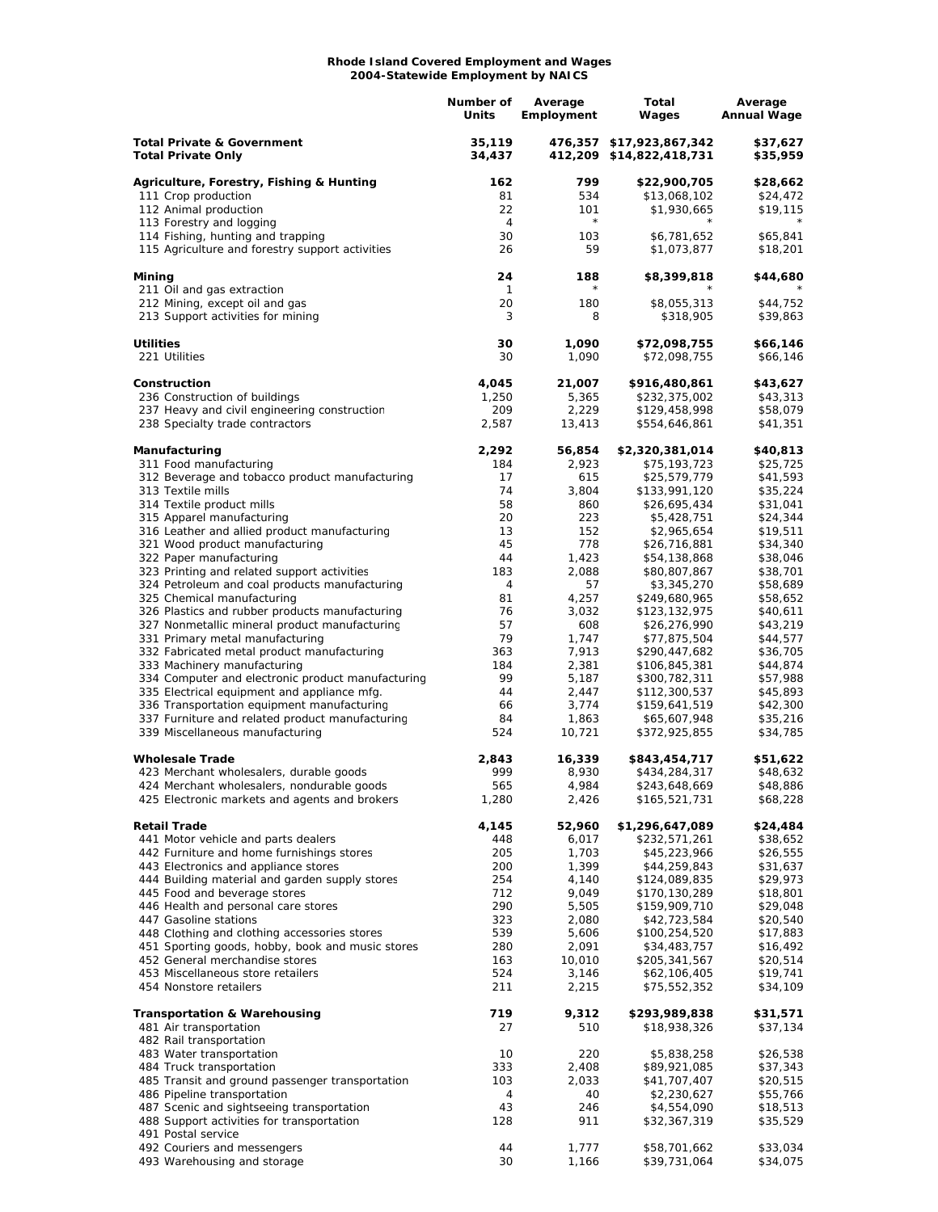## **Rhode Island Covered Employment and Wages 2004-Statewide Employment by NAICS**

|                                                                                                  | Number of<br>Units | Average<br>Employment | Total<br>Wages                               | Average<br><b>Annual Wage</b> |
|--------------------------------------------------------------------------------------------------|--------------------|-----------------------|----------------------------------------------|-------------------------------|
| <b>Total Private &amp; Government</b><br><b>Total Private Only</b>                               | 35,119<br>34,437   | 476,357               | \$17,923,867,342<br>412,209 \$14,822,418,731 | \$37,627<br>\$35,959          |
| Agriculture, Forestry, Fishing & Hunting                                                         | 162                | 799                   | \$22,900,705                                 | \$28,662                      |
| 111 Crop production                                                                              | 81                 | 534                   | \$13,068,102                                 | \$24,472                      |
| 112 Animal production                                                                            | 22                 | 101<br>$\star$        | \$1,930,665                                  | \$19,115                      |
| 113 Forestry and logging<br>114 Fishing, hunting and trapping                                    | 4<br>30            | 103                   | \$6,781,652                                  | \$65,841                      |
| 115 Agriculture and forestry support activities                                                  | 26                 | 59                    | \$1,073,877                                  | \$18,201                      |
| Mining<br>211 Oil and gas extraction                                                             | 24<br>1            | 188                   | \$8,399,818                                  | \$44,680                      |
| 212 Mining, except oil and gas                                                                   | 20                 | 180                   | \$8,055,313                                  | \$44,752                      |
| 213 Support activities for mining                                                                | 3                  | 8                     | \$318,905                                    | \$39,863                      |
| <b>Utilities</b>                                                                                 | 30                 | 1,090                 | \$72,098,755                                 | \$66,146                      |
| 221 Utilities                                                                                    | 30                 | 1,090                 | \$72,098,755                                 | \$66,146                      |
| Construction                                                                                     | 4,045              | 21,007                | \$916,480,861                                | \$43,627                      |
| 236 Construction of buildings                                                                    | 1,250<br>209       | 5,365<br>2,229        | \$232,375,002                                | \$43,313                      |
| 237 Heavy and civil engineering construction<br>238 Specialty trade contractors                  | 2,587              | 13,413                | \$129,458,998<br>\$554,646,861               | \$58,079<br>\$41,351          |
| Manufacturing                                                                                    | 2,292              | 56,854                | \$2,320,381,014                              | \$40,813                      |
| 311 Food manufacturing                                                                           | 184                | 2,923                 | \$75,193,723                                 | \$25,725                      |
| 312 Beverage and tobacco product manufacturing<br>313 Textile mills                              | 17<br>74           | 615<br>3,804          | \$25,579,779                                 | \$41,593<br>\$35,224          |
| 314 Textile product mills                                                                        | 58                 | 860                   | \$133,991,120<br>\$26,695,434                | \$31,041                      |
| 315 Apparel manufacturing                                                                        | 20                 | 223                   | \$5,428,751                                  | \$24,344                      |
| 316 Leather and allied product manufacturing                                                     | 13                 | 152                   | \$2,965,654                                  | \$19,511                      |
| 321 Wood product manufacturing                                                                   | 45                 | 778                   | \$26,716,881                                 | \$34,340                      |
| 322 Paper manufacturing                                                                          | 44<br>183          | 1,423                 | \$54,138,868                                 | \$38,046                      |
| 323 Printing and related support activities<br>324 Petroleum and coal products manufacturing     | 4                  | 2,088<br>57           | \$80,807,867<br>\$3,345,270                  | \$38,701<br>\$58,689          |
| 325 Chemical manufacturing                                                                       | 81                 | 4,257                 | \$249,680,965                                | \$58,652                      |
| 326 Plastics and rubber products manufacturing                                                   | 76                 | 3,032                 | \$123,132,975                                | \$40,611                      |
| 327 Nonmetallic mineral product manufacturing                                                    | 57                 | 608                   | \$26,276,990                                 | \$43,219                      |
| 331 Primary metal manufacturing<br>332 Fabricated metal product manufacturing                    | 79<br>363          | 1,747<br>7,913        | \$77,875,504<br>\$290,447,682                | \$44,577<br>\$36,705          |
| 333 Machinery manufacturing                                                                      | 184                | 2,381                 | \$106,845,381                                | \$44,874                      |
| 334 Computer and electronic product manufacturing                                                | 99                 | 5,187                 | \$300,782,311                                | \$57,988                      |
| 335 Electrical equipment and appliance mfg.                                                      | 44                 | 2,447                 | \$112,300,537                                | \$45,893                      |
| 336 Transportation equipment manufacturing<br>337 Furniture and related product manufacturing    | 66                 | 3,774                 | \$159,641,519                                | \$42,300                      |
| 339 Miscellaneous manufacturing                                                                  | 84<br>524          | 1,863<br>10,721       | \$65,607,948<br>\$372,925,855                | \$35,216<br>\$34,785          |
| <b>Wholesale Trade</b>                                                                           | 2,843              | 16,339                | \$843,454,717                                | \$51,622                      |
| 423 Merchant wholesalers, durable goods                                                          | 999                | 8,930                 | \$434,284,317                                | \$48,632                      |
| 424 Merchant wholesalers, nondurable goods<br>425 Electronic markets and agents and brokers      | 565<br>1,280       | 4,984<br>2,426        | \$243,648,669<br>\$165,521,731               | \$48,886<br>\$68,228          |
| <b>Retail Trade</b>                                                                              | 4,145              | 52,960                | \$1,296,647,089                              | \$24,484                      |
| 441 Motor vehicle and parts dealers                                                              | 448                | 6,017                 | \$232,571,261                                | \$38,652                      |
| 442 Furniture and home furnishings stores                                                        | 205<br>200         | 1,703                 | \$45,223,966                                 | \$26,555                      |
| 443 Electronics and appliance stores<br>444 Building material and garden supply stores           | 254                | 1,399<br>4,140        | \$44,259,843<br>\$124,089,835                | \$31,637<br>\$29,973          |
| 445 Food and beverage stores                                                                     | 712                | 9,049                 | \$170,130,289                                | \$18,801                      |
| 446 Health and personal care stores                                                              | 290                | 5,505                 | \$159,909,710                                | \$29,048                      |
| 447 Gasoline stations                                                                            | 323                | 2,080                 | \$42,723,584                                 | \$20,540                      |
| 448 Clothing and clothing accessories stores<br>451 Sporting goods, hobby, book and music stores | 539<br>280         | 5,606<br>2,091        | \$100,254,520<br>\$34,483,757                | \$17,883<br>\$16,492          |
| 452 General merchandise stores                                                                   | 163                | 10,010                | \$205,341,567                                | \$20,514                      |
| 453 Miscellaneous store retailers                                                                | 524                | 3,146                 | \$62,106,405                                 | \$19,741                      |
| 454 Nonstore retailers                                                                           | 211                | 2,215                 | \$75,552,352                                 | \$34,109                      |
| <b>Transportation &amp; Warehousing</b>                                                          | 719                | 9,312                 | \$293,989,838                                | \$31,571                      |
| 481 Air transportation                                                                           | 27                 | 510                   | \$18,938,326                                 | \$37,134                      |
| 482 Rail transportation<br>483 Water transportation                                              | 10                 | 220                   | \$5,838,258                                  | \$26,538                      |
| 484 Truck transportation                                                                         | 333                | 2,408                 | \$89,921,085                                 | \$37,343                      |
| 485 Transit and ground passenger transportation                                                  | 103                | 2,033                 | \$41,707,407                                 | \$20,515                      |
| 486 Pipeline transportation                                                                      | 4                  | 40                    | \$2,230,627                                  | \$55,766                      |
| 487 Scenic and sightseeing transportation<br>488 Support activities for transportation           | 43<br>128          | 246<br>911            | \$4,554,090                                  | \$18,513                      |
| 491 Postal service                                                                               |                    |                       | \$32,367,319                                 | \$35,529                      |
| 492 Couriers and messengers                                                                      | 44                 | 1,777                 | \$58,701,662                                 | \$33,034                      |
| 493 Warehousing and storage                                                                      | 30                 | 1,166                 | \$39,731,064                                 | \$34,075                      |